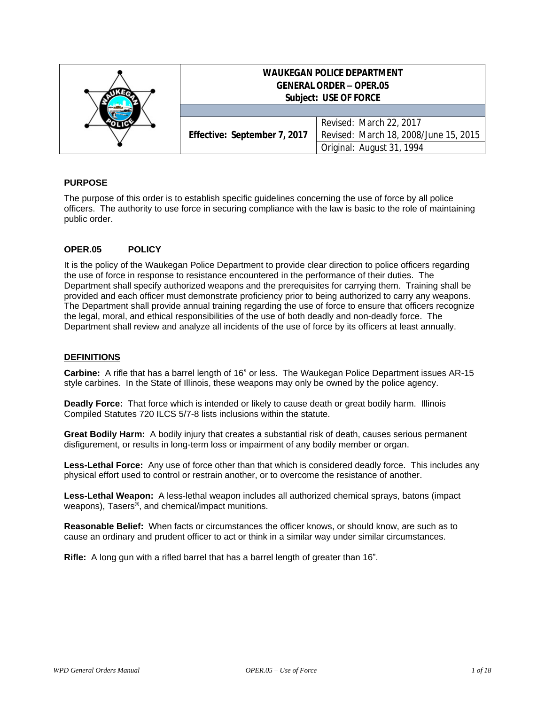|  | <b>WAUKEGAN POLICE DEPARTMENT</b><br><b>GENERAL ORDER - OPER.05</b><br><b>Subject: USE OF FORCE</b> |                                                                  |
|--|-----------------------------------------------------------------------------------------------------|------------------------------------------------------------------|
|  | Effective: September 7, 2017                                                                        | Revised: March 22, 2017<br>Revised: March 18, 2008/June 15, 2015 |
|  |                                                                                                     | Original: August 31, 1994                                        |

# **PURPOSE**

The purpose of this order is to establish specific guidelines concerning the use of force by all police officers. The authority to use force in securing compliance with the law is basic to the role of maintaining public order.

## **OPER.05 POLICY**

It is the policy of the Waukegan Police Department to provide clear direction to police officers regarding the use of force in response to resistance encountered in the performance of their duties. The Department shall specify authorized weapons and the prerequisites for carrying them. Training shall be provided and each officer must demonstrate proficiency prior to being authorized to carry any weapons. The Department shall provide annual training regarding the use of force to ensure that officers recognize the legal, moral, and ethical responsibilities of the use of both deadly and non-deadly force. The Department shall review and analyze all incidents of the use of force by its officers at least annually.

#### **DEFINITIONS**

**Carbine:** A rifle that has a barrel length of 16" or less. The Waukegan Police Department issues AR-15 style carbines. In the State of Illinois, these weapons may only be owned by the police agency.

**Deadly Force:** That force which is intended or likely to cause death or great bodily harm. Illinois Compiled Statutes 720 ILCS 5/7-8 lists inclusions within the statute.

**Great Bodily Harm:** A bodily injury that creates a substantial risk of death, causes serious permanent disfigurement, or results in long-term loss or impairment of any bodily member or organ.

**Less-Lethal Force:** Any use of force other than that which is considered deadly force. This includes any physical effort used to control or restrain another, or to overcome the resistance of another.

**Less-Lethal Weapon:** A less-lethal weapon includes all authorized chemical sprays, batons (impact weapons), Tasers®, and chemical/impact munitions.

**Reasonable Belief:** When facts or circumstances the officer knows, or should know, are such as to cause an ordinary and prudent officer to act or think in a similar way under similar circumstances.

**Rifle:** A long gun with a rifled barrel that has a barrel length of greater than 16".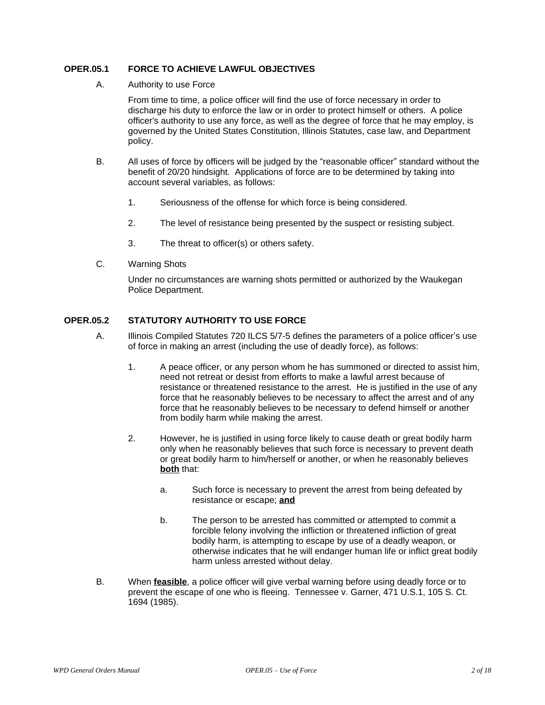## **OPER.05.1 FORCE TO ACHIEVE LAWFUL OBJECTIVES**

A. Authority to use Force

From time to time, a police officer will find the use of force necessary in order to discharge his duty to enforce the law or in order to protect himself or others. A police officer's authority to use any force, as well as the degree of force that he may employ, is governed by the United States Constitution, Illinois Statutes, case law, and Department policy.

- B. All uses of force by officers will be judged by the "reasonable officer" standard without the benefit of 20/20 hindsight. Applications of force are to be determined by taking into account several variables, as follows:
	- 1. Seriousness of the offense for which force is being considered.
	- 2. The level of resistance being presented by the suspect or resisting subject.
	- 3. The threat to officer(s) or others safety.
- C. Warning Shots

Under no circumstances are warning shots permitted or authorized by the Waukegan Police Department.

## **OPER.05.2 STATUTORY AUTHORITY TO USE FORCE**

- A. Illinois Compiled Statutes 720 ILCS 5/7-5 defines the parameters of a police officer's use of force in making an arrest (including the use of deadly force), as follows:
	- 1. A peace officer, or any person whom he has summoned or directed to assist him, need not retreat or desist from efforts to make a lawful arrest because of resistance or threatened resistance to the arrest. He is justified in the use of any force that he reasonably believes to be necessary to affect the arrest and of any force that he reasonably believes to be necessary to defend himself or another from bodily harm while making the arrest.
	- 2. However, he is justified in using force likely to cause death or great bodily harm only when he reasonably believes that such force is necessary to prevent death or great bodily harm to him/herself or another, or when he reasonably believes **both** that:
		- a. Such force is necessary to prevent the arrest from being defeated by resistance or escape; **and**
		- b. The person to be arrested has committed or attempted to commit a forcible felony involving the infliction or threatened infliction of great bodily harm, is attempting to escape by use of a deadly weapon, or otherwise indicates that he will endanger human life or inflict great bodily harm unless arrested without delay.
- B. When **feasible**, a police officer will give verbal warning before using deadly force or to prevent the escape of one who is fleeing. Tennessee v. Garner, 471 U.S.1, 105 S. Ct. 1694 (1985).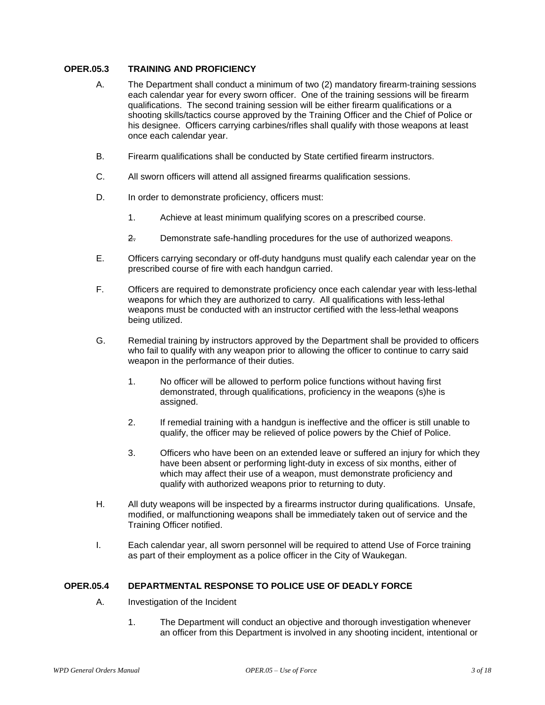## **OPER.05.3 TRAINING AND PROFICIENCY**

- A. The Department shall conduct a minimum of two (2) mandatory firearm-training sessions each calendar year for every sworn officer. One of the training sessions will be firearm qualifications. The second training session will be either firearm qualifications or a shooting skills/tactics course approved by the Training Officer and the Chief of Police or his designee. Officers carrying carbines/rifles shall qualify with those weapons at least once each calendar year.
- B. Firearm qualifications shall be conducted by State certified firearm instructors.
- C. All sworn officers will attend all assigned firearms qualification sessions.
- D. In order to demonstrate proficiency, officers must:
	- 1. Achieve at least minimum qualifying scores on a prescribed course.
	- 2. Demonstrate safe-handling procedures for the use of authorized weapons.
- E. Officers carrying secondary or off-duty handguns must qualify each calendar year on the prescribed course of fire with each handgun carried.
- F. Officers are required to demonstrate proficiency once each calendar year with less-lethal weapons for which they are authorized to carry. All qualifications with less-lethal weapons must be conducted with an instructor certified with the less-lethal weapons being utilized.
- G. Remedial training by instructors approved by the Department shall be provided to officers who fail to qualify with any weapon prior to allowing the officer to continue to carry said weapon in the performance of their duties.
	- 1. No officer will be allowed to perform police functions without having first demonstrated, through qualifications, proficiency in the weapons (s)he is assigned.
	- 2. If remedial training with a handgun is ineffective and the officer is still unable to qualify, the officer may be relieved of police powers by the Chief of Police.
	- 3. Officers who have been on an extended leave or suffered an injury for which they have been absent or performing light-duty in excess of six months, either of which may affect their use of a weapon, must demonstrate proficiency and qualify with authorized weapons prior to returning to duty.
- H. All duty weapons will be inspected by a firearms instructor during qualifications. Unsafe, modified, or malfunctioning weapons shall be immediately taken out of service and the Training Officer notified.
- I. Each calendar year, all sworn personnel will be required to attend Use of Force training as part of their employment as a police officer in the City of Waukegan.

#### **OPER.05.4 DEPARTMENTAL RESPONSE TO POLICE USE OF DEADLY FORCE**

- A. Investigation of the Incident
	- 1. The Department will conduct an objective and thorough investigation whenever an officer from this Department is involved in any shooting incident, intentional or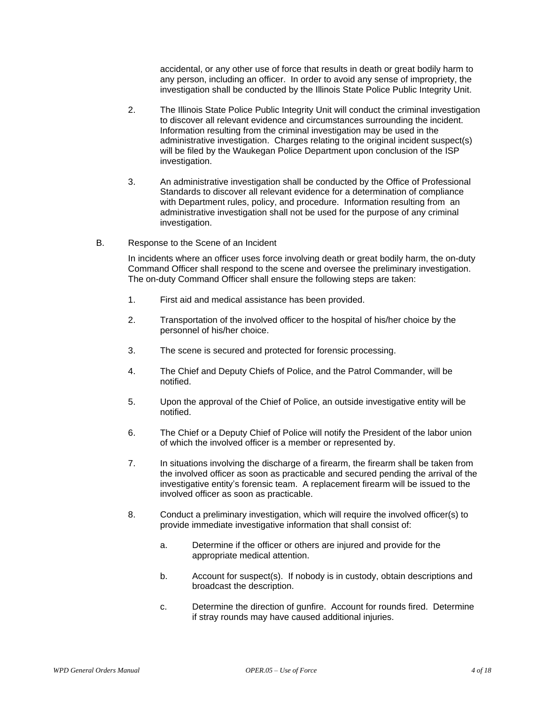accidental, or any other use of force that results in death or great bodily harm to any person, including an officer. In order to avoid any sense of impropriety, the investigation shall be conducted by the Illinois State Police Public Integrity Unit.

- 2. The Illinois State Police Public Integrity Unit will conduct the criminal investigation to discover all relevant evidence and circumstances surrounding the incident. Information resulting from the criminal investigation may be used in the administrative investigation. Charges relating to the original incident suspect(s) will be filed by the Waukegan Police Department upon conclusion of the ISP investigation.
- 3. An administrative investigation shall be conducted by the Office of Professional Standards to discover all relevant evidence for a determination of compliance with Department rules, policy, and procedure. Information resulting from an administrative investigation shall not be used for the purpose of any criminal investigation.
- B. Response to the Scene of an Incident

In incidents where an officer uses force involving death or great bodily harm, the on-duty Command Officer shall respond to the scene and oversee the preliminary investigation. The on-duty Command Officer shall ensure the following steps are taken:

- 1. First aid and medical assistance has been provided.
- 2. Transportation of the involved officer to the hospital of his/her choice by the personnel of his/her choice.
- 3. The scene is secured and protected for forensic processing.
- 4. The Chief and Deputy Chiefs of Police, and the Patrol Commander, will be notified.
- 5. Upon the approval of the Chief of Police, an outside investigative entity will be notified.
- 6. The Chief or a Deputy Chief of Police will notify the President of the labor union of which the involved officer is a member or represented by.
- 7. In situations involving the discharge of a firearm, the firearm shall be taken from the involved officer as soon as practicable and secured pending the arrival of the investigative entity's forensic team. A replacement firearm will be issued to the involved officer as soon as practicable.
- 8. Conduct a preliminary investigation, which will require the involved officer(s) to provide immediate investigative information that shall consist of:
	- a. Determine if the officer or others are injured and provide for the appropriate medical attention.
	- b. Account for suspect(s). If nobody is in custody, obtain descriptions and broadcast the description.
	- c. Determine the direction of gunfire. Account for rounds fired. Determine if stray rounds may have caused additional injuries.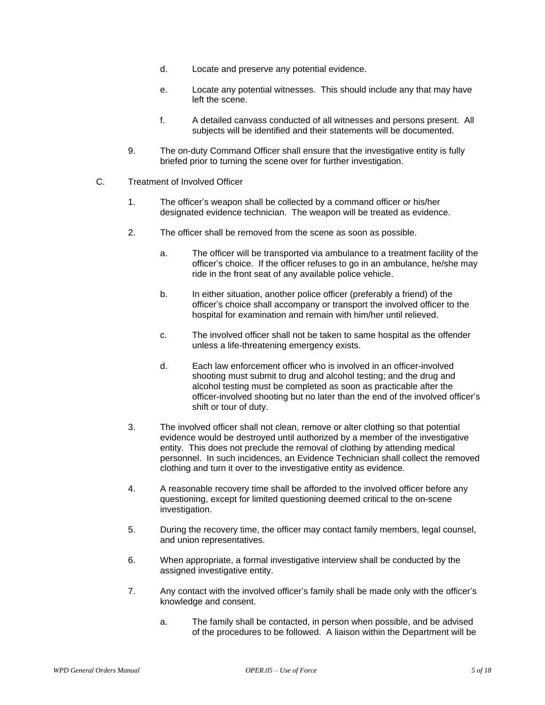- d. Locate and preserve any potential evidence.
- e. Locate any potential witnesses. This should include any that may have left the scene.
- f. A detailed canvass conducted of all witnesses and persons present. All subjects will be identified and their statements will be documented.
- 9. The on-duty Command Officer shall ensure that the investigative entity is fully briefed prior to turning the scene over for further investigation.
- C. Treatment of Involved Officer
	- 1. The officer's weapon shall be collected by a command officer or his/her designated evidence technician. The weapon will be treated as evidence.
	- 2. The officer shall be removed from the scene as soon as possible.
		- a. The officer will be transported via ambulance to a treatment facility of the officer's choice. If the officer refuses to go in an ambulance, he/she may ride in the front seat of any available police vehicle.
		- b. In either situation, another police officer (preferably a friend) of the officer's choice shall accompany or transport the involved officer to the hospital for examination and remain with him/her until relieved.
		- c. The involved officer shall not be taken to same hospital as the offender unless a life-threatening emergency exists.
		- d. Each law enforcement officer who is involved in an officer-involved shooting must submit to drug and alcohol testing; and the drug and alcohol testing must be completed as soon as practicable after the officer-involved shooting but no later than the end of the involved officer's shift or tour of duty.
	- 3. The involved officer shall not clean, remove or alter clothing so that potential evidence would be destroyed until authorized by a member of the investigative entity. This does not preclude the removal of clothing by attending medical personnel. In such incidences, an Evidence Technician shall collect the removed clothing and turn it over to the investigative entity as evidence.
	- 4. A reasonable recovery time shall be afforded to the involved officer before any questioning, except for limited questioning deemed critical to the on-scene investigation.
	- 5. During the recovery time, the officer may contact family members, legal counsel, and union representatives.
	- 6. When appropriate, a formal investigative interview shall be conducted by the assigned investigative entity.
	- 7. Any contact with the involved officer's family shall be made only with the officer's knowledge and consent.
		- a. The family shall be contacted, in person when possible, and be advised of the procedures to be followed. A liaison within the Department will be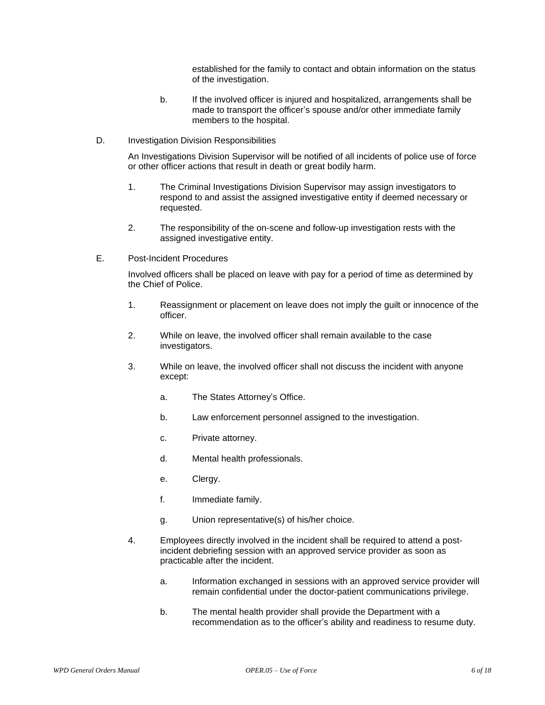established for the family to contact and obtain information on the status of the investigation.

- b. If the involved officer is injured and hospitalized, arrangements shall be made to transport the officer's spouse and/or other immediate family members to the hospital.
- D. Investigation Division Responsibilities

An Investigations Division Supervisor will be notified of all incidents of police use of force or other officer actions that result in death or great bodily harm.

- 1. The Criminal Investigations Division Supervisor may assign investigators to respond to and assist the assigned investigative entity if deemed necessary or requested.
- 2. The responsibility of the on-scene and follow-up investigation rests with the assigned investigative entity.
- E. Post-Incident Procedures

Involved officers shall be placed on leave with pay for a period of time as determined by the Chief of Police.

- 1. Reassignment or placement on leave does not imply the guilt or innocence of the officer.
- 2. While on leave, the involved officer shall remain available to the case investigators.
- 3. While on leave, the involved officer shall not discuss the incident with anyone except:
	- a. The States Attorney's Office.
	- b. Law enforcement personnel assigned to the investigation.
	- c. Private attorney.
	- d. Mental health professionals.
	- e. Clergy.
	- f. Immediate family.
	- g. Union representative(s) of his/her choice.
- 4. Employees directly involved in the incident shall be required to attend a postincident debriefing session with an approved service provider as soon as practicable after the incident.
	- a. Information exchanged in sessions with an approved service provider will remain confidential under the doctor-patient communications privilege.
	- b. The mental health provider shall provide the Department with a recommendation as to the officer's ability and readiness to resume duty.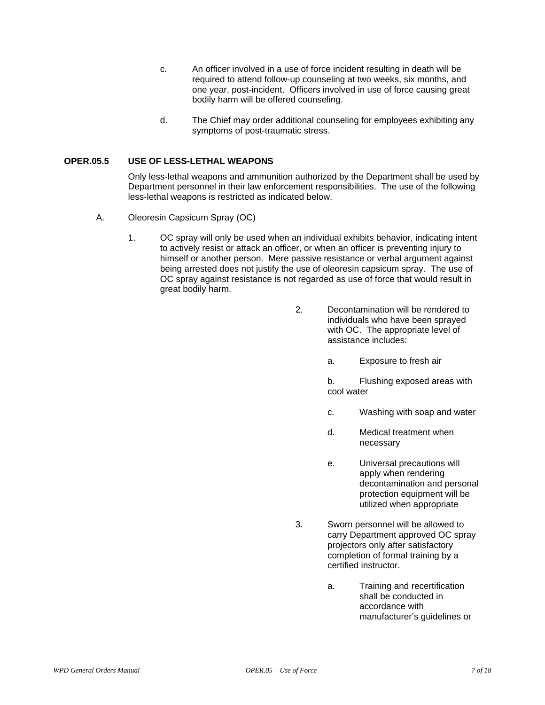- c. An officer involved in a use of force incident resulting in death will be required to attend follow-up counseling at two weeks, six months, and one year, post-incident. Officers involved in use of force causing great bodily harm will be offered counseling.
- d. The Chief may order additional counseling for employees exhibiting any symptoms of post-traumatic stress.

#### **OPER.05.5 USE OF LESS-LETHAL WEAPONS**

Only less-lethal weapons and ammunition authorized by the Department shall be used by Department personnel in their law enforcement responsibilities. The use of the following less-lethal weapons is restricted as indicated below.

- A. Oleoresin Capsicum Spray (OC)
	- 1. OC spray will only be used when an individual exhibits behavior, indicating intent to actively resist or attack an officer, or when an officer is preventing injury to himself or another person. Mere passive resistance or verbal argument against being arrested does not justify the use of oleoresin capsicum spray. The use of OC spray against resistance is not regarded as use of force that would result in great bodily harm.
		- 2. Decontamination will be rendered to individuals who have been sprayed with OC. The appropriate level of assistance includes:
			- a. Exposure to fresh air

b. Flushing exposed areas with cool water

- c. Washing with soap and water
- d. Medical treatment when necessary
- e. Universal precautions will apply when rendering decontamination and personal protection equipment will be utilized when appropriate
- 3. Sworn personnel will be allowed to carry Department approved OC spray projectors only after satisfactory completion of formal training by a certified instructor.
	- a. Training and recertification shall be conducted in accordance with manufacturer's guidelines or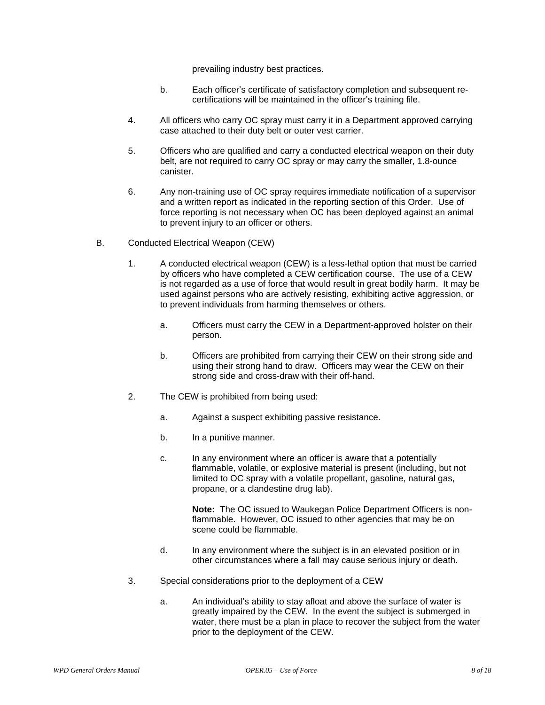prevailing industry best practices.

- b. Each officer's certificate of satisfactory completion and subsequent recertifications will be maintained in the officer's training file.
- 4. All officers who carry OC spray must carry it in a Department approved carrying case attached to their duty belt or outer vest carrier.
- 5. Officers who are qualified and carry a conducted electrical weapon on their duty belt, are not required to carry OC spray or may carry the smaller, 1.8-ounce canister.
- 6. Any non-training use of OC spray requires immediate notification of a supervisor and a written report as indicated in the reporting section of this Order. Use of force reporting is not necessary when OC has been deployed against an animal to prevent injury to an officer or others.
- B. Conducted Electrical Weapon (CEW)
	- 1. A conducted electrical weapon (CEW) is a less-lethal option that must be carried by officers who have completed a CEW certification course. The use of a CEW is not regarded as a use of force that would result in great bodily harm. It may be used against persons who are actively resisting, exhibiting active aggression, or to prevent individuals from harming themselves or others.
		- a. Officers must carry the CEW in a Department-approved holster on their person.
		- b. Officers are prohibited from carrying their CEW on their strong side and using their strong hand to draw. Officers may wear the CEW on their strong side and cross-draw with their off-hand.
	- 2. The CEW is prohibited from being used:
		- a. Against a suspect exhibiting passive resistance.
		- b. In a punitive manner.
		- c. In any environment where an officer is aware that a potentially flammable, volatile, or explosive material is present (including, but not limited to OC spray with a volatile propellant, gasoline, natural gas, propane, or a clandestine drug lab).

**Note:** The OC issued to Waukegan Police Department Officers is nonflammable. However, OC issued to other agencies that may be on scene could be flammable.

- d. In any environment where the subject is in an elevated position or in other circumstances where a fall may cause serious injury or death.
- 3. Special considerations prior to the deployment of a CEW
	- a. An individual's ability to stay afloat and above the surface of water is greatly impaired by the CEW. In the event the subject is submerged in water, there must be a plan in place to recover the subject from the water prior to the deployment of the CEW.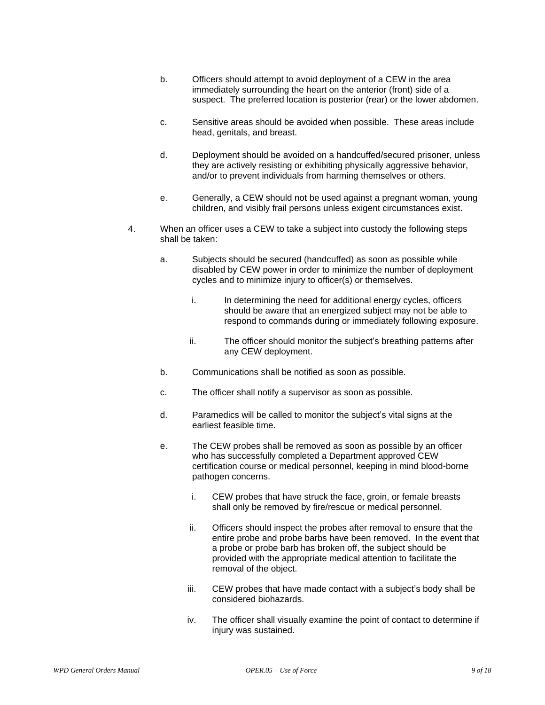- b. Officers should attempt to avoid deployment of a CEW in the area immediately surrounding the heart on the anterior (front) side of a suspect. The preferred location is posterior (rear) or the lower abdomen.
- c. Sensitive areas should be avoided when possible. These areas include head, genitals, and breast.
- d. Deployment should be avoided on a handcuffed/secured prisoner, unless they are actively resisting or exhibiting physically aggressive behavior, and/or to prevent individuals from harming themselves or others.
- e. Generally, a CEW should not be used against a pregnant woman, young children, and visibly frail persons unless exigent circumstances exist.
- 4. When an officer uses a CEW to take a subject into custody the following steps shall be taken:
	- a. Subjects should be secured (handcuffed) as soon as possible while disabled by CEW power in order to minimize the number of deployment cycles and to minimize injury to officer(s) or themselves.
		- i. In determining the need for additional energy cycles, officers should be aware that an energized subject may not be able to respond to commands during or immediately following exposure.
		- ii. The officer should monitor the subject's breathing patterns after any CEW deployment.
	- b. Communications shall be notified as soon as possible.
	- c. The officer shall notify a supervisor as soon as possible.
	- d. Paramedics will be called to monitor the subject's vital signs at the earliest feasible time.
	- e. The CEW probes shall be removed as soon as possible by an officer who has successfully completed a Department approved CEW certification course or medical personnel, keeping in mind blood-borne pathogen concerns.
		- i. CEW probes that have struck the face, groin, or female breasts shall only be removed by fire/rescue or medical personnel.
		- ii. Officers should inspect the probes after removal to ensure that the entire probe and probe barbs have been removed. In the event that a probe or probe barb has broken off, the subject should be provided with the appropriate medical attention to facilitate the removal of the object.
		- iii. CEW probes that have made contact with a subject's body shall be considered biohazards.
		- iv. The officer shall visually examine the point of contact to determine if injury was sustained.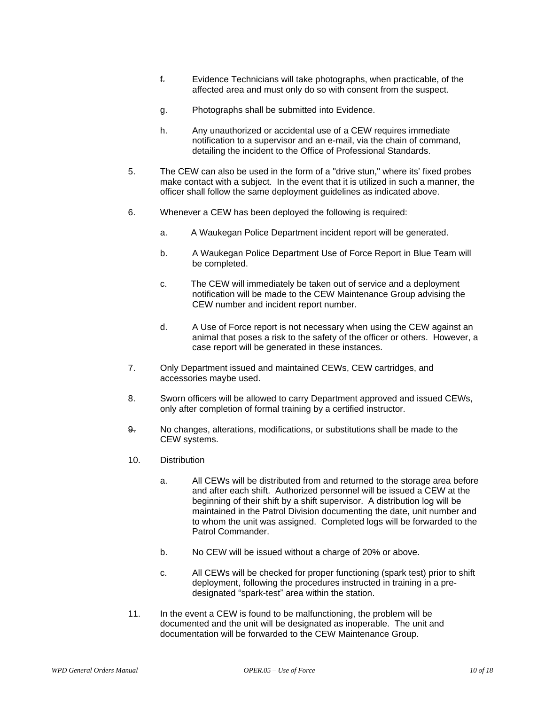- f. Evidence Technicians will take photographs, when practicable, of the affected area and must only do so with consent from the suspect.
- g. Photographs shall be submitted into Evidence.
- h. Any unauthorized or accidental use of a CEW requires immediate notification to a supervisor and an e-mail, via the chain of command, detailing the incident to the Office of Professional Standards.
- 5. The CEW can also be used in the form of a "drive stun," where its' fixed probes make contact with a subject. In the event that it is utilized in such a manner, the officer shall follow the same deployment guidelines as indicated above.
- 6. Whenever a CEW has been deployed the following is required:
	- a. A Waukegan Police Department incident report will be generated.
	- b. A Waukegan Police Department Use of Force Report in Blue Team will be completed.
	- c. The CEW will immediately be taken out of service and a deployment notification will be made to the CEW Maintenance Group advising the CEW number and incident report number.
	- d. A Use of Force report is not necessary when using the CEW against an animal that poses a risk to the safety of the officer or others. However, a case report will be generated in these instances.
- 7. Only Department issued and maintained CEWs, CEW cartridges, and accessories maybe used.
- 8. Sworn officers will be allowed to carry Department approved and issued CEWs, only after completion of formal training by a certified instructor.
- 9. No changes, alterations, modifications, or substitutions shall be made to the CEW systems.
- 10. Distribution
	- a. All CEWs will be distributed from and returned to the storage area before and after each shift. Authorized personnel will be issued a CEW at the beginning of their shift by a shift supervisor. A distribution log will be maintained in the Patrol Division documenting the date, unit number and to whom the unit was assigned. Completed logs will be forwarded to the Patrol Commander.
	- b. No CEW will be issued without a charge of 20% or above.
	- c. All CEWs will be checked for proper functioning (spark test) prior to shift deployment, following the procedures instructed in training in a predesignated "spark-test" area within the station.
- 11. In the event a CEW is found to be malfunctioning, the problem will be documented and the unit will be designated as inoperable. The unit and documentation will be forwarded to the CEW Maintenance Group.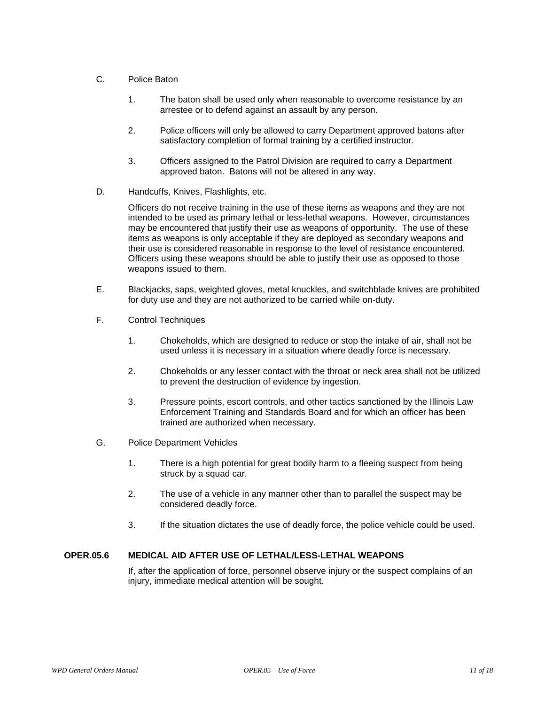- C. Police Baton
	- 1. The baton shall be used only when reasonable to overcome resistance by an arrestee or to defend against an assault by any person.
	- 2. Police officers will only be allowed to carry Department approved batons after satisfactory completion of formal training by a certified instructor.
	- 3. Officers assigned to the Patrol Division are required to carry a Department approved baton. Batons will not be altered in any way.
- D. Handcuffs, Knives, Flashlights, etc.

Officers do not receive training in the use of these items as weapons and they are not intended to be used as primary lethal or less-lethal weapons. However, circumstances may be encountered that justify their use as weapons of opportunity. The use of these items as weapons is only acceptable if they are deployed as secondary weapons and their use is considered reasonable in response to the level of resistance encountered. Officers using these weapons should be able to justify their use as opposed to those weapons issued to them.

- E. Blackjacks, saps, weighted gloves, metal knuckles, and switchblade knives are prohibited for duty use and they are not authorized to be carried while on-duty.
- F. Control Techniques
	- 1. Chokeholds, which are designed to reduce or stop the intake of air, shall not be used unless it is necessary in a situation where deadly force is necessary.
	- 2. Chokeholds or any lesser contact with the throat or neck area shall not be utilized to prevent the destruction of evidence by ingestion.
	- 3. Pressure points, escort controls, and other tactics sanctioned by the Illinois Law Enforcement Training and Standards Board and for which an officer has been trained are authorized when necessary.
- G. Police Department Vehicles
	- 1. There is a high potential for great bodily harm to a fleeing suspect from being struck by a squad car.
	- 2. The use of a vehicle in any manner other than to parallel the suspect may be considered deadly force.
	- 3. If the situation dictates the use of deadly force, the police vehicle could be used.

## **OPER.05.6 MEDICAL AID AFTER USE OF LETHAL/LESS-LETHAL WEAPONS**

If, after the application of force, personnel observe injury or the suspect complains of an injury, immediate medical attention will be sought.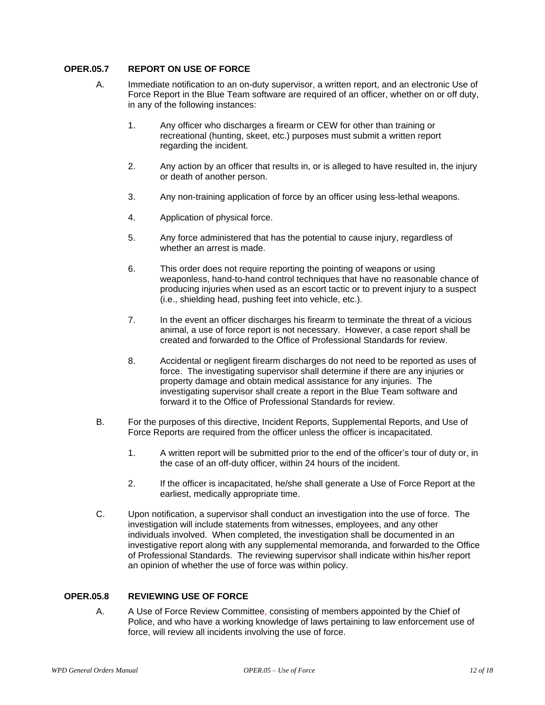## **OPER.05.7 REPORT ON USE OF FORCE**

- A. Immediate notification to an on-duty supervisor, a written report, and an electronic Use of Force Report in the Blue Team software are required of an officer, whether on or off duty, in any of the following instances:
	- 1. Any officer who discharges a firearm or CEW for other than training or recreational (hunting, skeet, etc.) purposes must submit a written report regarding the incident.
	- 2. Any action by an officer that results in, or is alleged to have resulted in, the injury or death of another person.
	- 3. Any non-training application of force by an officer using less-lethal weapons.
	- 4. Application of physical force.
	- 5. Any force administered that has the potential to cause injury, regardless of whether an arrest is made.
	- 6. This order does not require reporting the pointing of weapons or using weaponless, hand-to-hand control techniques that have no reasonable chance of producing injuries when used as an escort tactic or to prevent injury to a suspect (i.e., shielding head, pushing feet into vehicle, etc.).
	- 7. In the event an officer discharges his firearm to terminate the threat of a vicious animal, a use of force report is not necessary. However, a case report shall be created and forwarded to the Office of Professional Standards for review.
	- 8. Accidental or negligent firearm discharges do not need to be reported as uses of force. The investigating supervisor shall determine if there are any injuries or property damage and obtain medical assistance for any injuries. The investigating supervisor shall create a report in the Blue Team software and forward it to the Office of Professional Standards for review.
- B. For the purposes of this directive, Incident Reports, Supplemental Reports, and Use of Force Reports are required from the officer unless the officer is incapacitated.
	- 1. A written report will be submitted prior to the end of the officer's tour of duty or, in the case of an off-duty officer, within 24 hours of the incident.
	- 2. If the officer is incapacitated, he/she shall generate a Use of Force Report at the earliest, medically appropriate time.
- C. Upon notification, a supervisor shall conduct an investigation into the use of force. The investigation will include statements from witnesses, employees, and any other individuals involved. When completed, the investigation shall be documented in an investigative report along with any supplemental memoranda, and forwarded to the Office of Professional Standards. The reviewing supervisor shall indicate within his/her report an opinion of whether the use of force was within policy.

### **OPER.05.8 REVIEWING USE OF FORCE**

A. A Use of Force Review Committee, consisting of members appointed by the Chief of Police, and who have a working knowledge of laws pertaining to law enforcement use of force, will review all incidents involving the use of force.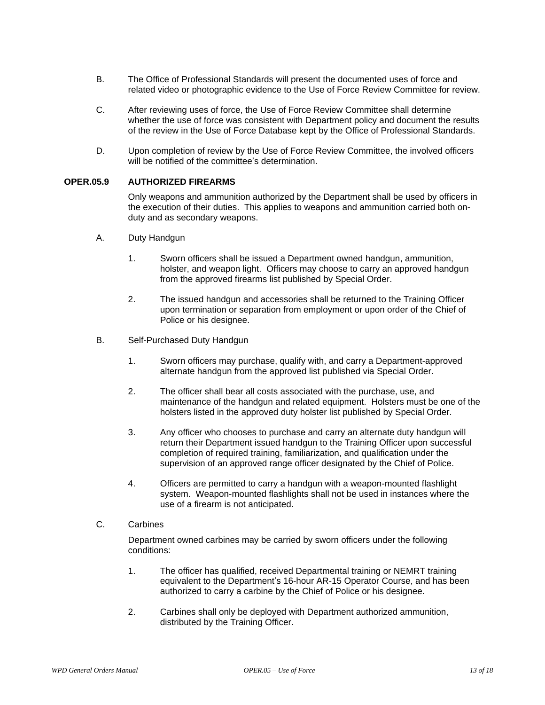- B. The Office of Professional Standards will present the documented uses of force and related video or photographic evidence to the Use of Force Review Committee for review.
- C. After reviewing uses of force, the Use of Force Review Committee shall determine whether the use of force was consistent with Department policy and document the results of the review in the Use of Force Database kept by the Office of Professional Standards.
- D. Upon completion of review by the Use of Force Review Committee, the involved officers will be notified of the committee's determination.

## **OPER.05.9 AUTHORIZED FIREARMS**

Only weapons and ammunition authorized by the Department shall be used by officers in the execution of their duties. This applies to weapons and ammunition carried both onduty and as secondary weapons.

- A. Duty Handgun
	- 1. Sworn officers shall be issued a Department owned handgun, ammunition, holster, and weapon light. Officers may choose to carry an approved handgun from the approved firearms list published by Special Order.
	- 2. The issued handgun and accessories shall be returned to the Training Officer upon termination or separation from employment or upon order of the Chief of Police or his designee.
- B. Self-Purchased Duty Handgun
	- 1. Sworn officers may purchase, qualify with, and carry a Department-approved alternate handgun from the approved list published via Special Order.
	- 2. The officer shall bear all costs associated with the purchase, use, and maintenance of the handgun and related equipment. Holsters must be one of the holsters listed in the approved duty holster list published by Special Order.
	- 3. Any officer who chooses to purchase and carry an alternate duty handgun will return their Department issued handgun to the Training Officer upon successful completion of required training, familiarization, and qualification under the supervision of an approved range officer designated by the Chief of Police.
	- 4. Officers are permitted to carry a handgun with a weapon-mounted flashlight system. Weapon-mounted flashlights shall not be used in instances where the use of a firearm is not anticipated.
- C. Carbines

Department owned carbines may be carried by sworn officers under the following conditions:

- 1. The officer has qualified, received Departmental training or NEMRT training equivalent to the Department's 16-hour AR-15 Operator Course, and has been authorized to carry a carbine by the Chief of Police or his designee.
- 2. Carbines shall only be deployed with Department authorized ammunition, distributed by the Training Officer.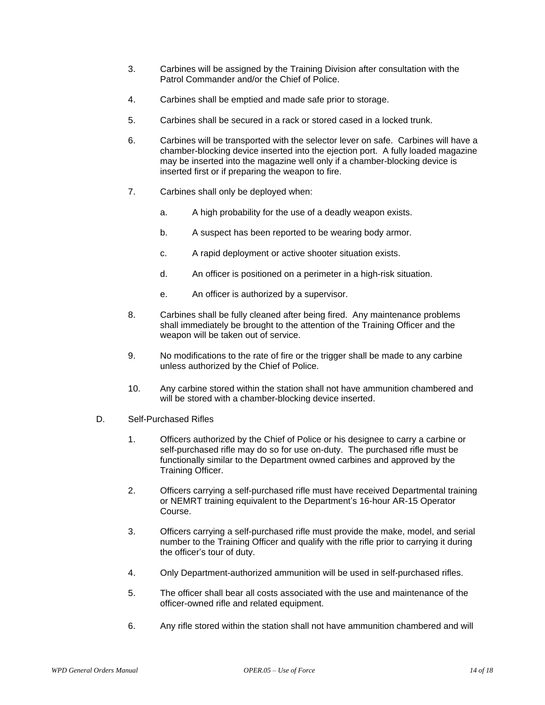- 3. Carbines will be assigned by the Training Division after consultation with the Patrol Commander and/or the Chief of Police.
- 4. Carbines shall be emptied and made safe prior to storage.
- 5. Carbines shall be secured in a rack or stored cased in a locked trunk.
- 6. Carbines will be transported with the selector lever on safe. Carbines will have a chamber-blocking device inserted into the ejection port. A fully loaded magazine may be inserted into the magazine well only if a chamber-blocking device is inserted first or if preparing the weapon to fire.
- 7. Carbines shall only be deployed when:
	- a. A high probability for the use of a deadly weapon exists.
	- b. A suspect has been reported to be wearing body armor.
	- c. A rapid deployment or active shooter situation exists.
	- d. An officer is positioned on a perimeter in a high-risk situation.
	- e. An officer is authorized by a supervisor.
- 8. Carbines shall be fully cleaned after being fired. Any maintenance problems shall immediately be brought to the attention of the Training Officer and the weapon will be taken out of service.
- 9. No modifications to the rate of fire or the trigger shall be made to any carbine unless authorized by the Chief of Police.
- 10. Any carbine stored within the station shall not have ammunition chambered and will be stored with a chamber-blocking device inserted.
- D. Self-Purchased Rifles
	- 1. Officers authorized by the Chief of Police or his designee to carry a carbine or self-purchased rifle may do so for use on-duty. The purchased rifle must be functionally similar to the Department owned carbines and approved by the Training Officer.
	- 2. Officers carrying a self-purchased rifle must have received Departmental training or NEMRT training equivalent to the Department's 16-hour AR-15 Operator Course.
	- 3. Officers carrying a self-purchased rifle must provide the make, model, and serial number to the Training Officer and qualify with the rifle prior to carrying it during the officer's tour of duty.
	- 4. Only Department-authorized ammunition will be used in self-purchased rifles.
	- 5. The officer shall bear all costs associated with the use and maintenance of the officer-owned rifle and related equipment.
	- 6. Any rifle stored within the station shall not have ammunition chambered and will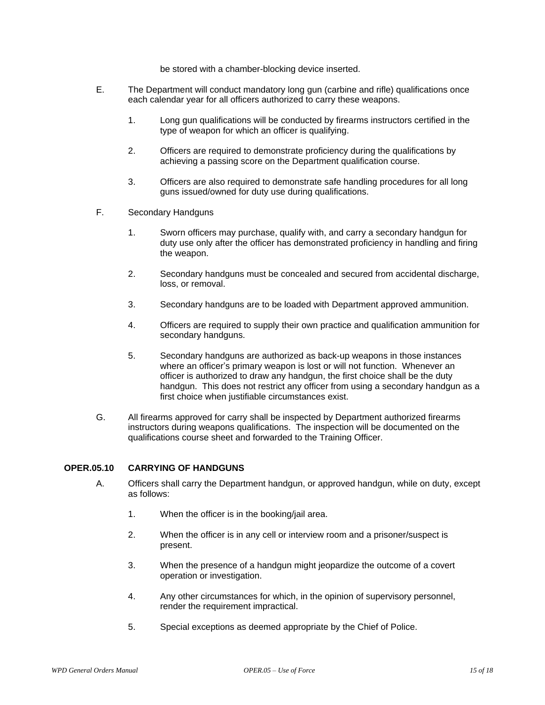be stored with a chamber-blocking device inserted.

- E. The Department will conduct mandatory long gun (carbine and rifle) qualifications once each calendar year for all officers authorized to carry these weapons.
	- 1. Long gun qualifications will be conducted by firearms instructors certified in the type of weapon for which an officer is qualifying.
	- 2. Officers are required to demonstrate proficiency during the qualifications by achieving a passing score on the Department qualification course.
	- 3. Officers are also required to demonstrate safe handling procedures for all long guns issued/owned for duty use during qualifications.
- F. Secondary Handguns
	- 1. Sworn officers may purchase, qualify with, and carry a secondary handgun for duty use only after the officer has demonstrated proficiency in handling and firing the weapon.
	- 2. Secondary handguns must be concealed and secured from accidental discharge, loss, or removal.
	- 3. Secondary handguns are to be loaded with Department approved ammunition.
	- 4. Officers are required to supply their own practice and qualification ammunition for secondary handguns.
	- 5. Secondary handguns are authorized as back-up weapons in those instances where an officer's primary weapon is lost or will not function. Whenever an officer is authorized to draw any handgun, the first choice shall be the duty handgun. This does not restrict any officer from using a secondary handgun as a first choice when justifiable circumstances exist.
- G. All firearms approved for carry shall be inspected by Department authorized firearms instructors during weapons qualifications. The inspection will be documented on the qualifications course sheet and forwarded to the Training Officer.

#### **OPER.05.10 CARRYING OF HANDGUNS**

- A. Officers shall carry the Department handgun, or approved handgun, while on duty, except as follows:
	- 1. When the officer is in the booking/jail area.
	- 2. When the officer is in any cell or interview room and a prisoner/suspect is present.
	- 3. When the presence of a handgun might jeopardize the outcome of a covert operation or investigation.
	- 4. Any other circumstances for which, in the opinion of supervisory personnel, render the requirement impractical.
	- 5. Special exceptions as deemed appropriate by the Chief of Police.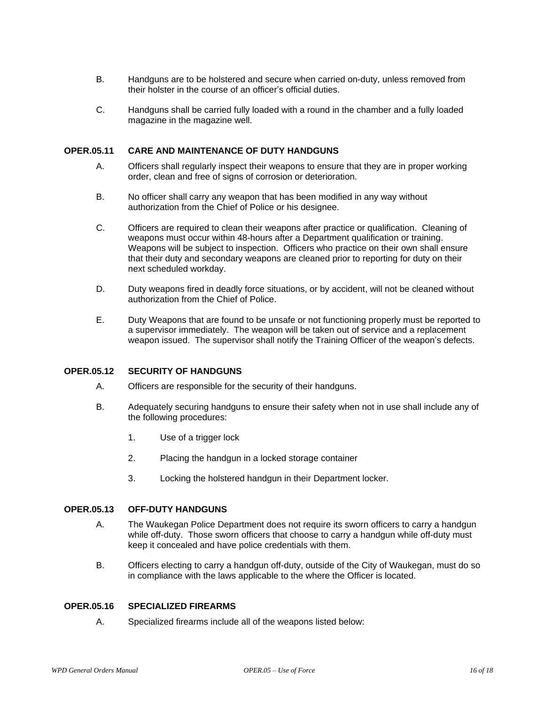- B. Handguns are to be holstered and secure when carried on-duty, unless removed from their holster in the course of an officer's official duties.
- C. Handguns shall be carried fully loaded with a round in the chamber and a fully loaded magazine in the magazine well.

#### **OPER.05.11 CARE AND MAINTENANCE OF DUTY HANDGUNS**

- A. Officers shall regularly inspect their weapons to ensure that they are in proper working order, clean and free of signs of corrosion or deterioration.
- B. No officer shall carry any weapon that has been modified in any way without authorization from the Chief of Police or his designee.
- C. Officers are required to clean their weapons after practice or qualification. Cleaning of weapons must occur within 48-hours after a Department qualification or training. Weapons will be subject to inspection. Officers who practice on their own shall ensure that their duty and secondary weapons are cleaned prior to reporting for duty on their next scheduled workday.
- D. Duty weapons fired in deadly force situations, or by accident, will not be cleaned without authorization from the Chief of Police.
- E. Duty Weapons that are found to be unsafe or not functioning properly must be reported to a supervisor immediately. The weapon will be taken out of service and a replacement weapon issued. The supervisor shall notify the Training Officer of the weapon's defects.

#### **OPER.05.12 SECURITY OF HANDGUNS**

- A. Officers are responsible for the security of their handguns.
- B. Adequately securing handguns to ensure their safety when not in use shall include any of the following procedures:
	- 1. Use of a trigger lock
	- 2. Placing the handgun in a locked storage container
	- 3. Locking the holstered handgun in their Department locker.

## **OPER.05.13 OFF-DUTY HANDGUNS**

- A. The Waukegan Police Department does not require its sworn officers to carry a handgun while off-duty. Those sworn officers that choose to carry a handgun while off-duty must keep it concealed and have police credentials with them.
- B. Officers electing to carry a handgun off-duty, outside of the City of Waukegan, must do so in compliance with the laws applicable to the where the Officer is located.

#### **OPER.05.16 SPECIALIZED FIREARMS**

A. Specialized firearms include all of the weapons listed below: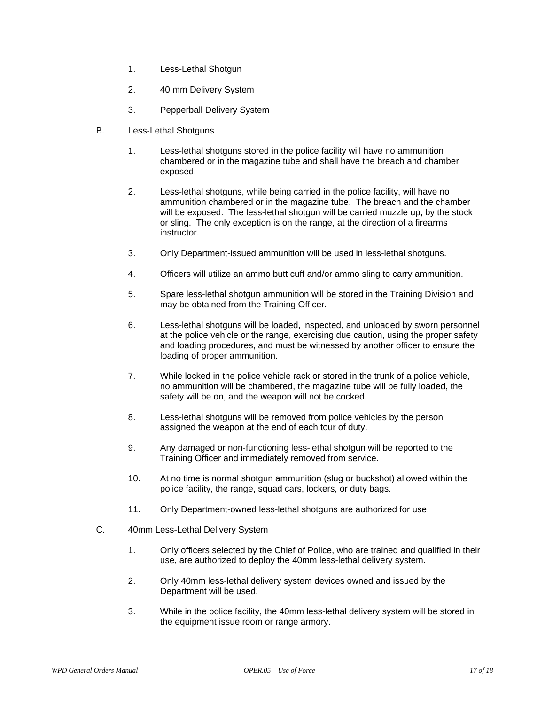- 1. Less-Lethal Shotgun
- 2. 40 mm Delivery System
- 3. Pepperball Delivery System
- B. Less-Lethal Shotguns
	- 1. Less-lethal shotguns stored in the police facility will have no ammunition chambered or in the magazine tube and shall have the breach and chamber exposed.
	- 2. Less-lethal shotguns, while being carried in the police facility, will have no ammunition chambered or in the magazine tube. The breach and the chamber will be exposed. The less-lethal shotgun will be carried muzzle up, by the stock or sling. The only exception is on the range, at the direction of a firearms instructor.
	- 3. Only Department-issued ammunition will be used in less-lethal shotguns.
	- 4. Officers will utilize an ammo butt cuff and/or ammo sling to carry ammunition.
	- 5. Spare less-lethal shotgun ammunition will be stored in the Training Division and may be obtained from the Training Officer.
	- 6. Less-lethal shotguns will be loaded, inspected, and unloaded by sworn personnel at the police vehicle or the range, exercising due caution, using the proper safety and loading procedures, and must be witnessed by another officer to ensure the loading of proper ammunition.
	- 7. While locked in the police vehicle rack or stored in the trunk of a police vehicle, no ammunition will be chambered, the magazine tube will be fully loaded, the safety will be on, and the weapon will not be cocked.
	- 8. Less-lethal shotguns will be removed from police vehicles by the person assigned the weapon at the end of each tour of duty.
	- 9. Any damaged or non-functioning less-lethal shotgun will be reported to the Training Officer and immediately removed from service.
	- 10. At no time is normal shotgun ammunition (slug or buckshot) allowed within the police facility, the range, squad cars, lockers, or duty bags.
	- 11. Only Department-owned less-lethal shotguns are authorized for use.
- C. 40mm Less-Lethal Delivery System
	- 1. Only officers selected by the Chief of Police, who are trained and qualified in their use, are authorized to deploy the 40mm less-lethal delivery system.
	- 2. Only 40mm less-lethal delivery system devices owned and issued by the Department will be used.
	- 3. While in the police facility, the 40mm less-lethal delivery system will be stored in the equipment issue room or range armory.